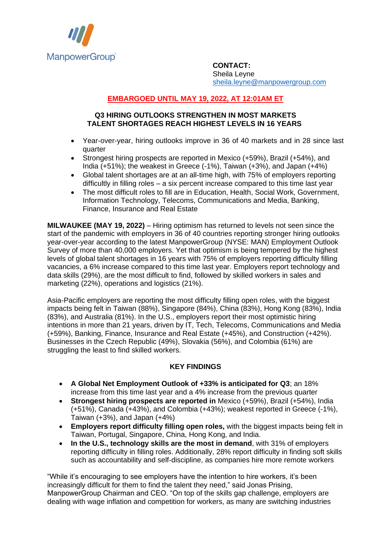

**CONTACT:** Sheila Leyne [sheila.leyne@manpowergroup.com](mailto:sheila.leyne@manpowergroup.com)

## **EMBARGOED UNTIL MAY 19, 2022, AT 12:01AM ET**

## **Q3 HIRING OUTLOOKS STRENGTHEN IN MOST MARKETS TALENT SHORTAGES REACH HIGHEST LEVELS IN 16 YEARS**

- Year-over-year, hiring outlooks improve in 36 of 40 markets and in 28 since last quarter
- Strongest hiring prospects are reported in Mexico (+59%), Brazil (+54%), and India (+51%); the weakest in Greece (-1%), Taiwan (+3%), and Japan (+4%)
- Global talent shortages are at an all-time high, with 75% of employers reporting difficultly in filling roles – a six percent increase compared to this time last year
- The most difficult roles to fill are in Education, Health, Social Work, Government, Information Technology, Telecoms, Communications and Media, Banking, Finance, Insurance and Real Estate

**MILWAUKEE (MAY 19, 2022)** – Hiring optimism has returned to levels not seen since the start of the pandemic with employers in 36 of 40 countries reporting stronger hiring outlooks year-over-year according to the latest ManpowerGroup (NYSE: MAN) Employment Outlook Survey of more than 40,000 employers. Yet that optimism is being tempered by the highest levels of global talent shortages in 16 years with 75% of employers reporting difficulty filling vacancies, a 6% increase compared to this time last year. Employers report technology and data skills (29%), are the most difficult to find, followed by skilled workers in sales and marketing (22%), operations and logistics (21%).

Asia-Pacific employers are reporting the most difficulty filling open roles, with the biggest impacts being felt in Taiwan (88%), Singapore (84%), China (83%), Hong Kong (83%), India (83%), and Australia (81%). In the U.S., employers report their most optimistic hiring intentions in more than 21 years, driven by IT, Tech, Telecoms, Communications and Media (+59%), Banking, Finance, Insurance and Real Estate (+45%), and Construction (+42%). Businesses in the Czech Republic (49%), Slovakia (56%), and Colombia (61%) are struggling the least to find skilled workers.

## **KEY FINDINGS**

- **A Global Net Employment Outlook of +33% is anticipated for Q3**; an 18% increase from this time last year and a 4% increase from the previous quarter
- **Strongest hiring prospects are reported in** Mexico (+59%), Brazil (+54%), India (+51%), Canada (+43%), and Colombia (+43%); weakest reported in Greece (-1%), Taiwan (+3%), and Japan (+4%)
- **Employers report difficulty filling open roles,** with the biggest impacts being felt in Taiwan, Portugal, Singapore, China, Hong Kong, and India.
- **In the U.S., technology skills are the most in demand**, with 31% of employers reporting difficulty in filling roles. Additionally, 28% report difficulty in finding soft skills such as accountability and self-discipline, as companies hire more remote workers

"While it's encouraging to see employers have the intention to hire workers, it's been increasingly difficult for them to find the talent they need," said Jonas Prising, ManpowerGroup Chairman and CEO. "On top of the skills gap challenge, employers are dealing with wage inflation and competition for workers, as many are switching industries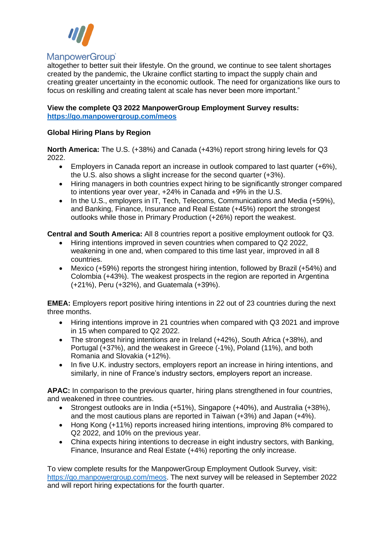

# **ManpowerGroup**®

altogether to better suit their lifestyle. On the ground, we continue to see talent shortages created by the pandemic, the Ukraine conflict starting to impact the supply chain and creating greater uncertainty in the economic outlook. The need for organizations like ours to focus on reskilling and creating talent at scale has never been more important."

#### **View the complete Q3 2022 ManpowerGroup Employment Survey results: <https://go.manpowergroup.com/meos>**

## **Global Hiring Plans by Region**

**North America:** The U.S. (+38%) and Canada (+43%) report strong hiring levels for Q3 2022.

- Employers in Canada report an increase in outlook compared to last quarter (+6%), the U.S. also shows a slight increase for the second quarter (+3%).
- Hiring managers in both countries expect hiring to be significantly stronger compared to intentions year over year, +24% in Canada and +9% in the U.S.
- In the U.S., employers in IT, Tech, Telecoms, Communications and Media (+59%), and Banking, Finance, Insurance and Real Estate (+45%) report the strongest outlooks while those in Primary Production (+26%) report the weakest.

**Central and South America:** All 8 countries report a positive employment outlook for Q3.

- Hiring intentions improved in seven countries when compared to Q2 2022, weakening in one and, when compared to this time last year, improved in all 8 countries.
- Mexico (+59%) reports the strongest hiring intention, followed by Brazil (+54%) and Colombia (+43%). The weakest prospects in the region are reported in Argentina (+21%), Peru (+32%), and Guatemala (+39%).

**EMEA:** Employers report positive hiring intentions in 22 out of 23 countries during the next three months.

- Hiring intentions improve in 21 countries when compared with Q3 2021 and improve in 15 when compared to Q2 2022.
- The strongest hiring intentions are in Ireland (+42%), South Africa (+38%), and Portugal (+37%), and the weakest in Greece (-1%), Poland (11%), and both Romania and Slovakia (+12%).
- In five U.K. industry sectors, employers report an increase in hiring intentions, and similarly, in nine of France's industry sectors, employers report an increase.

**APAC:** In comparison to the previous quarter, hiring plans strengthened in four countries, and weakened in three countries.

- Strongest outlooks are in India (+51%), Singapore (+40%), and Australia (+38%), and the most cautious plans are reported in Taiwan (+3%) and Japan (+4%).
- Hong Kong (+11%) reports increased hiring intentions, improving 8% compared to Q2 2022, and 10% on the previous year.
- China expects hiring intentions to decrease in eight industry sectors, with Banking, Finance, Insurance and Real Estate (+4%) reporting the only increase.

To view complete results for the ManpowerGroup Employment Outlook Survey, visit: [https://go.manpowergroup.com/meos.](https://go.manpowergroup.com/meos) The next survey will be released in September 2022 and will report hiring expectations for the fourth quarter.